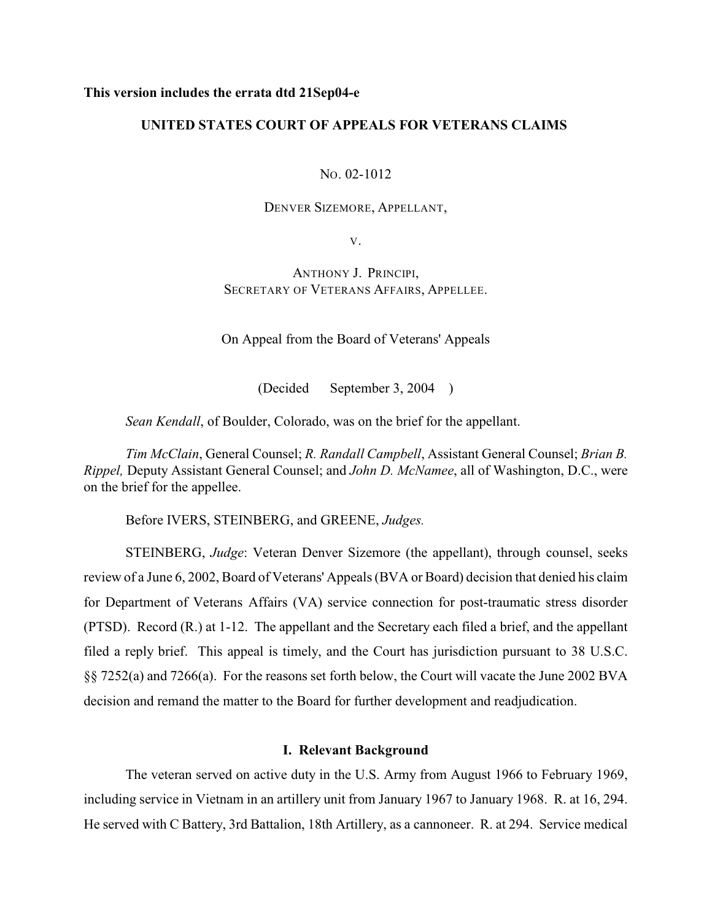## **This version includes the errata dtd 21Sep04-e**

# **UNITED STATES COURT OF APPEALS FOR VETERANS CLAIMS**

NO. 02-1012

DENVER SIZEMORE, APPELLANT,

V.

ANTHONY J. PRINCIPI, SECRETARY OF VETERANS AFFAIRS, APPELLEE.

On Appeal from the Board of Veterans' Appeals

(Decided September 3, 2004 )

*Sean Kendall*, of Boulder, Colorado, was on the brief for the appellant.

*Tim McClain*, General Counsel; *R. Randall Campbell*, Assistant General Counsel; *Brian B. Rippel,* Deputy Assistant General Counsel; and *John D. McNamee*, all of Washington, D.C., were on the brief for the appellee.

Before IVERS, STEINBERG, and GREENE, *Judges.*

STEINBERG, *Judge*: Veteran Denver Sizemore (the appellant), through counsel, seeks review of a June 6, 2002, Board of Veterans' Appeals (BVA or Board) decision that denied his claim for Department of Veterans Affairs (VA) service connection for post-traumatic stress disorder (PTSD). Record (R.) at 1-12. The appellant and the Secretary each filed a brief, and the appellant filed a reply brief. This appeal is timely, and the Court has jurisdiction pursuant to 38 U.S.C. §§ 7252(a) and 7266(a). For the reasons set forth below, the Court will vacate the June 2002 BVA decision and remand the matter to the Board for further development and readjudication.

## **I. Relevant Background**

The veteran served on active duty in the U.S. Army from August 1966 to February 1969, including service in Vietnam in an artillery unit from January 1967 to January 1968. R. at 16, 294. He served with C Battery, 3rd Battalion, 18th Artillery, as a cannoneer. R. at 294. Service medical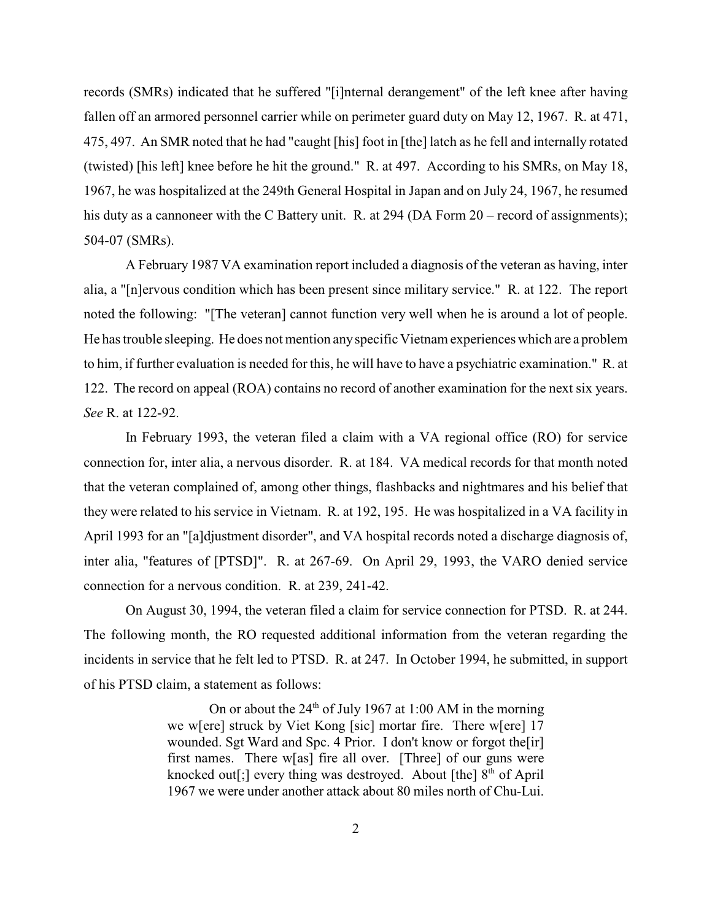records (SMRs) indicated that he suffered "[i]nternal derangement" of the left knee after having fallen off an armored personnel carrier while on perimeter guard duty on May 12, 1967. R. at 471, 475, 497. An SMR noted that he had "caught [his] foot in [the] latch as he fell and internally rotated (twisted) [his left] knee before he hit the ground." R. at 497. According to his SMRs, on May 18, 1967, he was hospitalized at the 249th General Hospital in Japan and on July 24, 1967, he resumed his duty as a cannoneer with the C Battery unit. R. at 294 (DA Form 20 – record of assignments); 504-07 (SMRs).

A February 1987 VA examination report included a diagnosis of the veteran as having, inter alia, a "[n]ervous condition which has been present since military service." R. at 122. The report noted the following: "[The veteran] cannot function very well when he is around a lot of people. He has trouble sleeping. He does not mention any specific Vietnam experiences which are a problem to him, if further evaluation is needed for this, he will have to have a psychiatric examination." R. at 122. The record on appeal (ROA) contains no record of another examination for the next six years. *See* R. at 122-92.

In February 1993, the veteran filed a claim with a VA regional office (RO) for service connection for, inter alia, a nervous disorder. R. at 184. VA medical records for that month noted that the veteran complained of, among other things, flashbacks and nightmares and his belief that they were related to his service in Vietnam. R. at 192, 195. He was hospitalized in a VA facility in April 1993 for an "[a]djustment disorder", and VA hospital records noted a discharge diagnosis of, inter alia, "features of [PTSD]". R. at 267-69. On April 29, 1993, the VARO denied service connection for a nervous condition. R. at 239, 241-42.

On August 30, 1994, the veteran filed a claim for service connection for PTSD. R. at 244. The following month, the RO requested additional information from the veteran regarding the incidents in service that he felt led to PTSD. R. at 247. In October 1994, he submitted, in support of his PTSD claim, a statement as follows:

> On or about the  $24<sup>th</sup>$  of July 1967 at 1:00 AM in the morning we w[ere] struck by Viet Kong [sic] mortar fire. There w[ere] 17 wounded. Sgt Ward and Spc. 4 Prior. I don't know or forgot the [ir] first names. There w[as] fire all over. [Three] of our guns were knocked out[;] every thing was destroyed. About [the]  $8<sup>th</sup>$  of April 1967 we were under another attack about 80 miles north of Chu-Lui.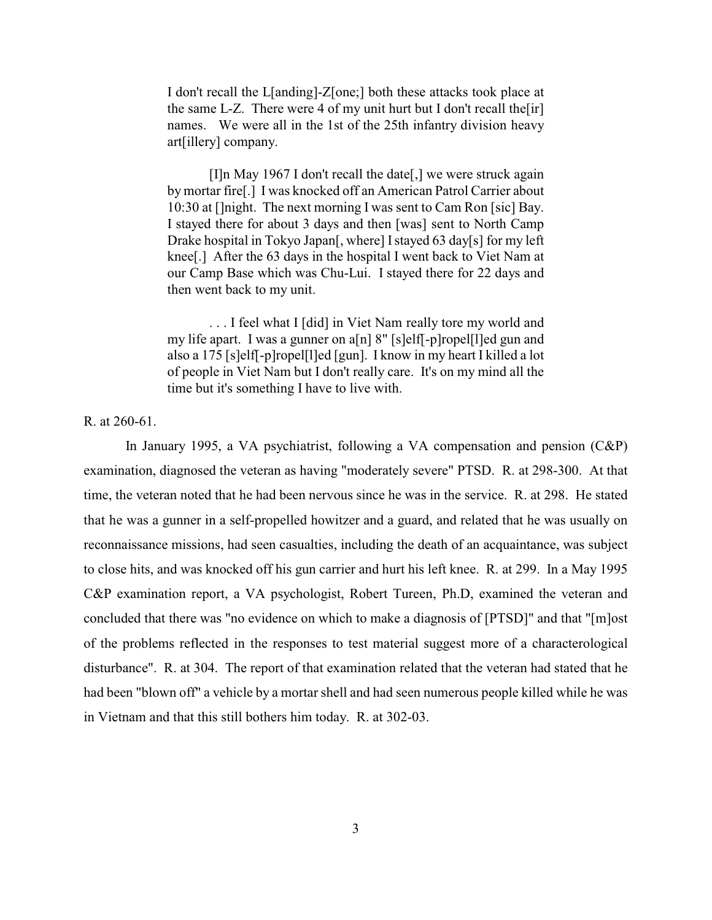I don't recall the L[anding]-Z[one;] both these attacks took place at the same L-Z. There were 4 of my unit hurt but I don't recall the  $\lfloor$ ir $\rfloor$ names. We were all in the 1st of the 25th infantry division heavy art[illery] company.

[I]n May 1967 I don't recall the date[,] we were struck again by mortar fire[.] I was knocked off an American Patrol Carrier about 10:30 at []night. The next morning I was sent to Cam Ron [sic] Bay. I stayed there for about 3 days and then [was] sent to North Camp Drake hospital in Tokyo Japan[, where] Istayed 63 day[s] for my left knee[.] After the 63 days in the hospital I went back to Viet Nam at our Camp Base which was Chu-Lui. I stayed there for 22 days and then went back to my unit.

. . . I feel what I [did] in Viet Nam really tore my world and my life apart. I was a gunner on a[n] 8" [s]elf[-p]ropel[l]ed gun and also a 175 [s]elf[-p]ropel[l]ed [gun]. I know in my heart I killed a lot of people in Viet Nam but I don't really care. It's on my mind all the time but it's something I have to live with.

R. at 260-61.

In January 1995, a VA psychiatrist, following a VA compensation and pension (C&P) examination, diagnosed the veteran as having "moderately severe" PTSD. R. at 298-300. At that time, the veteran noted that he had been nervous since he was in the service. R. at 298. He stated that he was a gunner in a self-propelled howitzer and a guard, and related that he was usually on reconnaissance missions, had seen casualties, including the death of an acquaintance, was subject to close hits, and was knocked off his gun carrier and hurt his left knee. R. at 299. In a May 1995 C&P examination report, a VA psychologist, Robert Tureen, Ph.D, examined the veteran and concluded that there was "no evidence on which to make a diagnosis of [PTSD]" and that "[m]ost of the problems reflected in the responses to test material suggest more of a characterological disturbance". R. at 304. The report of that examination related that the veteran had stated that he had been "blown off" a vehicle by a mortar shell and had seen numerous people killed while he was in Vietnam and that this still bothers him today. R. at 302-03.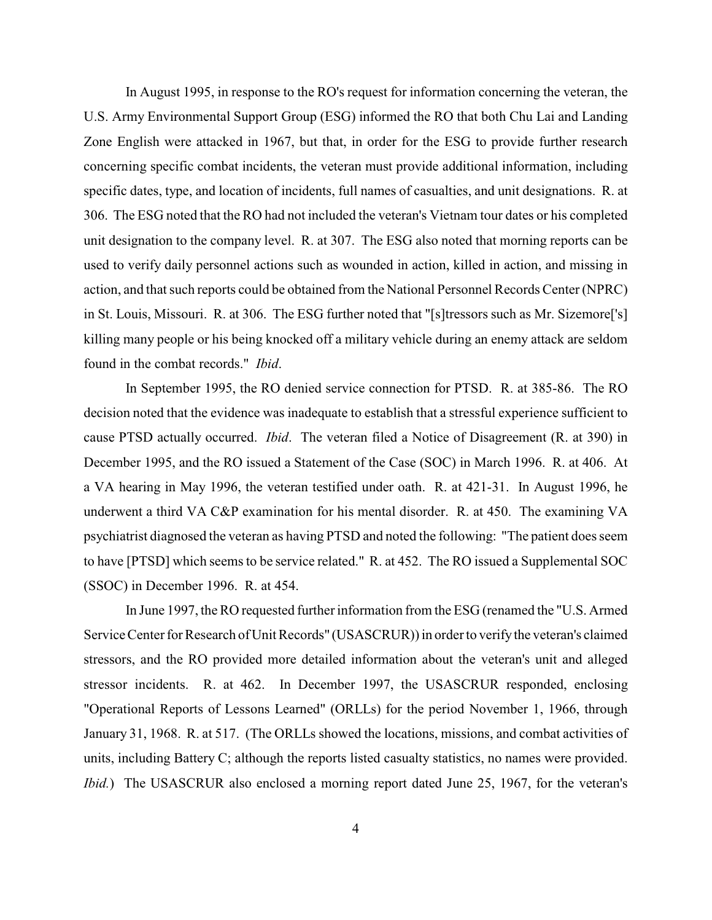In August 1995, in response to the RO's request for information concerning the veteran, the U.S. Army Environmental Support Group (ESG) informed the RO that both Chu Lai and Landing Zone English were attacked in 1967, but that, in order for the ESG to provide further research concerning specific combat incidents, the veteran must provide additional information, including specific dates, type, and location of incidents, full names of casualties, and unit designations. R. at 306. The ESG noted that the RO had not included the veteran's Vietnam tour dates or his completed unit designation to the company level. R. at 307. The ESG also noted that morning reports can be used to verify daily personnel actions such as wounded in action, killed in action, and missing in action, and that such reports could be obtained from the National Personnel Records Center (NPRC) in St. Louis, Missouri. R. at 306. The ESG further noted that "[s]tressors such as Mr. Sizemore['s] killing many people or his being knocked off a military vehicle during an enemy attack are seldom found in the combat records." *Ibid*.

In September 1995, the RO denied service connection for PTSD. R. at 385-86. The RO decision noted that the evidence was inadequate to establish that a stressful experience sufficient to cause PTSD actually occurred. *Ibid*. The veteran filed a Notice of Disagreement (R. at 390) in December 1995, and the RO issued a Statement of the Case (SOC) in March 1996. R. at 406. At a VA hearing in May 1996, the veteran testified under oath. R. at 421-31. In August 1996, he underwent a third VA C&P examination for his mental disorder. R. at 450. The examining VA psychiatrist diagnosed the veteran as having PTSD and noted the following: "The patient does seem to have [PTSD] which seems to be service related." R. at 452. The RO issued a Supplemental SOC (SSOC) in December 1996. R. at 454.

In June 1997, the RO requested further information from the ESG (renamed the "U.S. Armed Service Center for Research of Unit Records" (USASCRUR)) in order to verify the veteran's claimed stressors, and the RO provided more detailed information about the veteran's unit and alleged stressor incidents. R. at 462. In December 1997, the USASCRUR responded, enclosing "Operational Reports of Lessons Learned" (ORLLs) for the period November 1, 1966, through January 31, 1968. R. at 517. (The ORLLs showed the locations, missions, and combat activities of units, including Battery C; although the reports listed casualty statistics, no names were provided. *Ibid.*) The USASCRUR also enclosed a morning report dated June 25, 1967, for the veteran's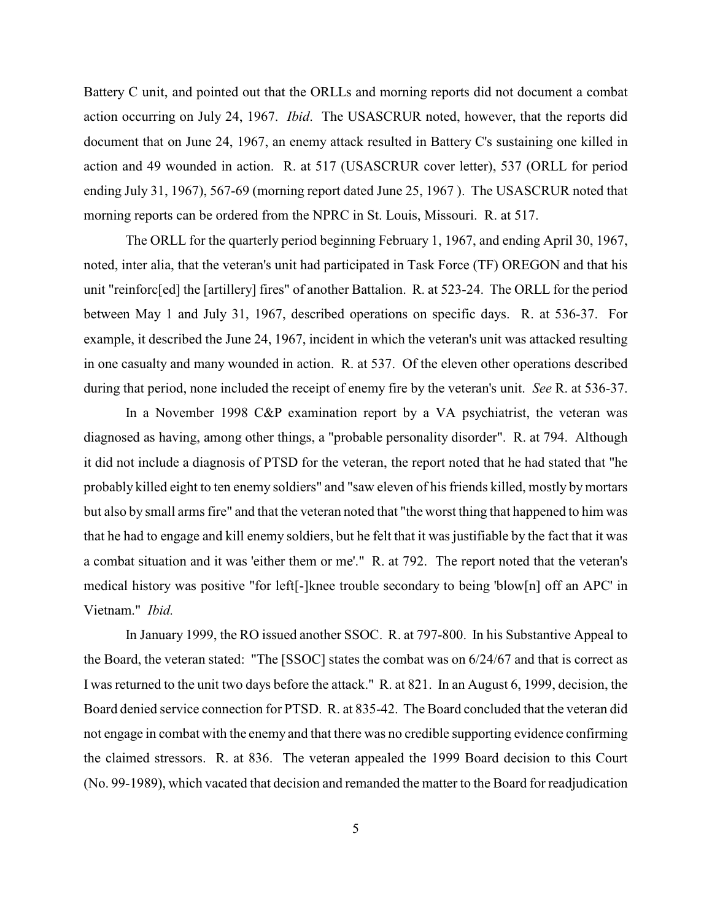Battery C unit, and pointed out that the ORLLs and morning reports did not document a combat action occurring on July 24, 1967. *Ibid*. The USASCRUR noted, however, that the reports did document that on June 24, 1967, an enemy attack resulted in Battery C's sustaining one killed in action and 49 wounded in action. R. at 517 (USASCRUR cover letter), 537 (ORLL for period ending July 31, 1967), 567-69 (morning report dated June 25, 1967 ). The USASCRUR noted that morning reports can be ordered from the NPRC in St. Louis, Missouri. R. at 517.

The ORLL for the quarterly period beginning February 1, 1967, and ending April 30, 1967, noted, inter alia, that the veteran's unit had participated in Task Force (TF) OREGON and that his unit "reinforc[ed] the [artillery] fires" of another Battalion. R. at 523-24. The ORLL for the period between May 1 and July 31, 1967, described operations on specific days. R. at 536-37. For example, it described the June 24, 1967, incident in which the veteran's unit was attacked resulting in one casualty and many wounded in action. R. at 537. Of the eleven other operations described during that period, none included the receipt of enemy fire by the veteran's unit. *See* R. at 536-37.

In a November 1998 C&P examination report by a VA psychiatrist, the veteran was diagnosed as having, among other things, a "probable personality disorder". R. at 794. Although it did not include a diagnosis of PTSD for the veteran, the report noted that he had stated that "he probably killed eight to ten enemy soldiers" and "saw eleven of his friends killed, mostly by mortars but also by small arms fire" and that the veteran noted that "the worst thing that happened to him was that he had to engage and kill enemy soldiers, but he felt that it was justifiable by the fact that it was a combat situation and it was 'either them or me'." R. at 792. The report noted that the veteran's medical history was positive "for left[-]knee trouble secondary to being 'blow[n] off an APC' in Vietnam." *Ibid.*

In January 1999, the RO issued another SSOC. R. at 797-800. In his Substantive Appeal to the Board, the veteran stated: "The [SSOC] states the combat was on 6/24/67 and that is correct as I was returned to the unit two days before the attack." R. at 821. In an August 6, 1999, decision, the Board denied service connection for PTSD. R. at 835-42. The Board concluded that the veteran did not engage in combat with the enemy and that there was no credible supporting evidence confirming the claimed stressors. R. at 836. The veteran appealed the 1999 Board decision to this Court (No. 99-1989), which vacated that decision and remanded the matter to the Board for readjudication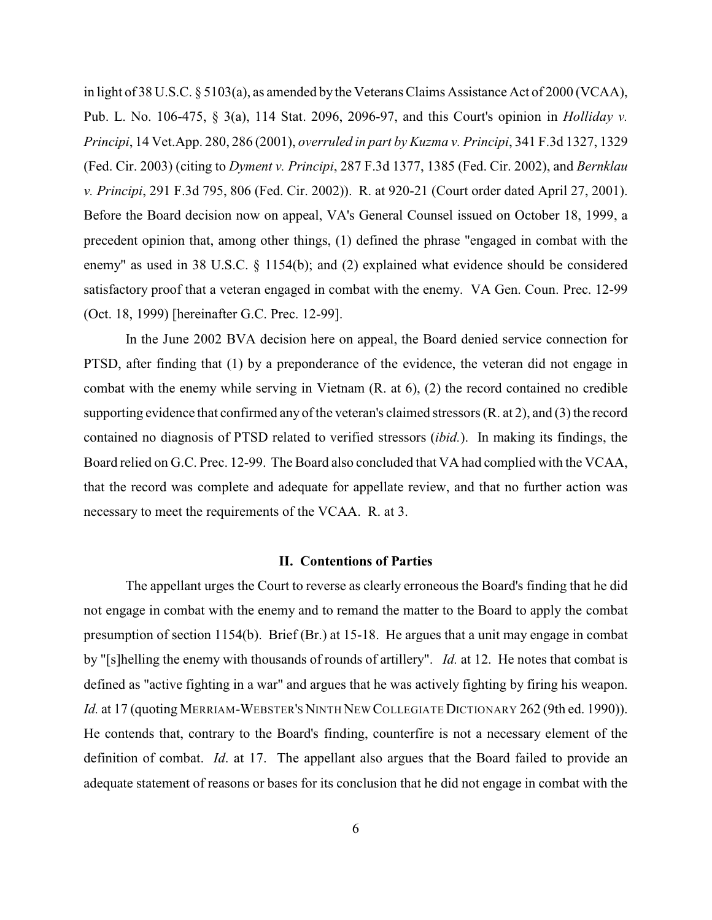in light of 38 U.S.C. § 5103(a), as amended by the Veterans Claims Assistance Act of 2000 (VCAA), Pub. L. No. 106-475, § 3(a), 114 Stat. 2096, 2096-97, and this Court's opinion in *Holliday v. Principi*, 14 Vet.App. 280, 286 (2001), *overruled in part by Kuzma v. Principi*, 341 F.3d 1327, 1329 (Fed. Cir. 2003) (citing to *Dyment v. Principi*, 287 F.3d 1377, 1385 (Fed. Cir. 2002), and *Bernklau v. Principi*, 291 F.3d 795, 806 (Fed. Cir. 2002)). R. at 920-21 (Court order dated April 27, 2001). Before the Board decision now on appeal, VA's General Counsel issued on October 18, 1999, a precedent opinion that, among other things, (1) defined the phrase "engaged in combat with the enemy" as used in 38 U.S.C. § 1154(b); and (2) explained what evidence should be considered satisfactory proof that a veteran engaged in combat with the enemy. VA Gen. Coun. Prec. 12-99 (Oct. 18, 1999) [hereinafter G.C. Prec. 12-99].

In the June 2002 BVA decision here on appeal, the Board denied service connection for PTSD, after finding that (1) by a preponderance of the evidence, the veteran did not engage in combat with the enemy while serving in Vietnam (R. at 6), (2) the record contained no credible supporting evidence that confirmed any of the veteran's claimed stressors (R. at 2), and (3) the record contained no diagnosis of PTSD related to verified stressors (*ibid.*). In making its findings, the Board relied on G.C. Prec. 12-99. The Board also concluded that VA had complied with the VCAA, that the record was complete and adequate for appellate review, and that no further action was necessary to meet the requirements of the VCAA. R. at 3.

### **II. Contentions of Parties**

The appellant urges the Court to reverse as clearly erroneous the Board's finding that he did not engage in combat with the enemy and to remand the matter to the Board to apply the combat presumption of section 1154(b). Brief (Br.) at 15-18. He argues that a unit may engage in combat by "[s]helling the enemy with thousands of rounds of artillery". *Id.* at 12. He notes that combat is defined as "active fighting in a war" and argues that he was actively fighting by firing his weapon. Id. at 17 (quoting MERRIAM-WEBSTER'S NINTH NEW COLLEGIATE DICTIONARY 262 (9th ed. 1990)). He contends that, contrary to the Board's finding, counterfire is not a necessary element of the definition of combat. *Id*. at 17. The appellant also argues that the Board failed to provide an adequate statement of reasons or bases for its conclusion that he did not engage in combat with the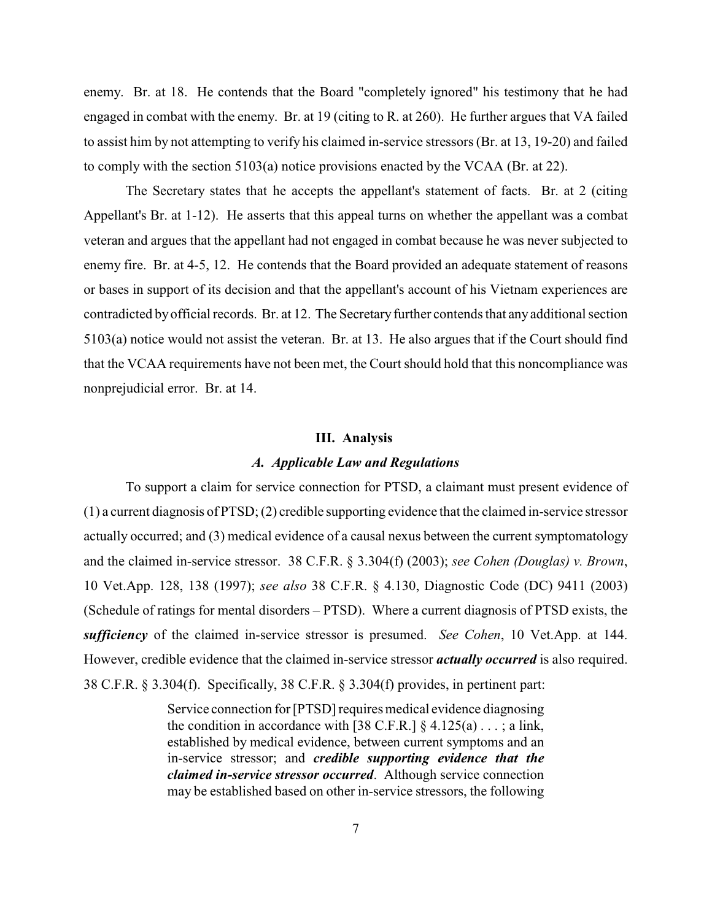enemy. Br. at 18. He contends that the Board "completely ignored" his testimony that he had engaged in combat with the enemy. Br. at 19 (citing to R. at 260). He further argues that VA failed to assist him by not attempting to verify his claimed in-service stressors (Br. at 13, 19-20) and failed to comply with the section 5103(a) notice provisions enacted by the VCAA (Br. at 22).

The Secretary states that he accepts the appellant's statement of facts. Br. at 2 (citing Appellant's Br. at 1-12). He asserts that this appeal turns on whether the appellant was a combat veteran and argues that the appellant had not engaged in combat because he was never subjected to enemy fire. Br. at 4-5, 12. He contends that the Board provided an adequate statement of reasons or bases in support of its decision and that the appellant's account of his Vietnam experiences are contradicted by official records. Br. at 12. The Secretary further contends that any additional section 5103(a) notice would not assist the veteran. Br. at 13. He also argues that if the Court should find that the VCAA requirements have not been met, the Court should hold that this noncompliance was nonprejudicial error. Br. at 14.

#### **III. Analysis**

## *A. Applicable Law and Regulations*

To support a claim for service connection for PTSD, a claimant must present evidence of (1) a current diagnosis of PTSD; (2) credible supporting evidence that the claimed in-service stressor actually occurred; and (3) medical evidence of a causal nexus between the current symptomatology and the claimed in-service stressor. 38 C.F.R. § 3.304(f) (2003); *see Cohen (Douglas) v. Brown*, 10 Vet.App. 128, 138 (1997); *see also* 38 C.F.R. § 4.130, Diagnostic Code (DC) 9411 (2003) (Schedule of ratings for mental disorders – PTSD). Where a current diagnosis of PTSD exists, the *sufficiency* of the claimed in-service stressor is presumed. *See Cohen*, 10 Vet.App. at 144. However, credible evidence that the claimed in-service stressor *actually occurred* is also required. 38 C.F.R. § 3.304(f). Specifically, 38 C.F.R. § 3.304(f) provides, in pertinent part:

> Service connection for [PTSD] requires medical evidence diagnosing the condition in accordance with [38 C.F.R.]  $\S$  4.125(a) . . . ; a link, established by medical evidence, between current symptoms and an in-service stressor; and *credible supporting evidence that the claimed in-service stressor occurred*. Although service connection may be established based on other in-service stressors, the following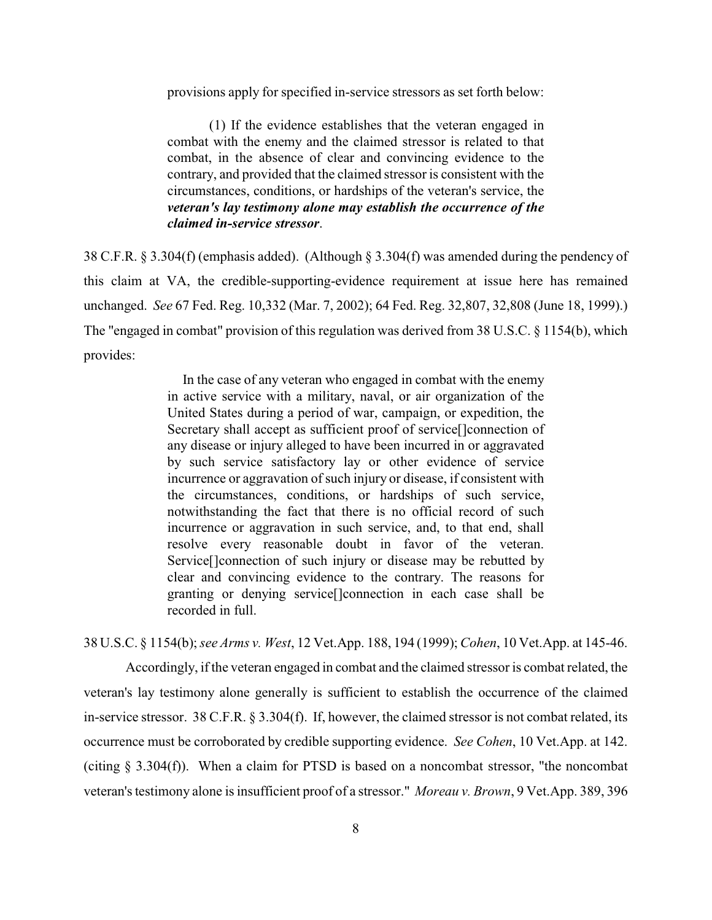provisions apply for specified in-service stressors as set forth below:

(1) If the evidence establishes that the veteran engaged in combat with the enemy and the claimed stressor is related to that combat, in the absence of clear and convincing evidence to the contrary, and provided that the claimed stressor is consistent with the circumstances, conditions, or hardships of the veteran's service, the *veteran's lay testimony alone may establish the occurrence of the claimed in-service stressor*.

38 C.F.R. § 3.304(f) (emphasis added). (Although § 3.304(f) was amended during the pendency of this claim at VA, the credible-supporting-evidence requirement at issue here has remained unchanged. *See* 67 Fed. Reg. 10,332 (Mar. 7, 2002); 64 Fed. Reg. 32,807, 32,808 (June 18, 1999).) The "engaged in combat" provision of this regulation was derived from 38 U.S.C. § 1154(b), which provides:

> In the case of any veteran who engaged in combat with the enemy in active service with a military, naval, or air organization of the United States during a period of war, campaign, or expedition, the Secretary shall accept as sufficient proof of service<sup>[</sup>]connection of any disease or injury alleged to have been incurred in or aggravated by such service satisfactory lay or other evidence of service incurrence or aggravation of such injury or disease, if consistent with the circumstances, conditions, or hardships of such service, notwithstanding the fact that there is no official record of such incurrence or aggravation in such service, and, to that end, shall resolve every reasonable doubt in favor of the veteran. Service[]connection of such injury or disease may be rebutted by clear and convincing evidence to the contrary. The reasons for granting or denying service[]connection in each case shall be recorded in full.

38 U.S.C. § 1154(b); *see Arms v. West*, 12 Vet.App. 188, 194 (1999); *Cohen*, 10 Vet.App. at 145-46.

Accordingly, if the veteran engaged in combat and the claimed stressor is combat related, the veteran's lay testimony alone generally is sufficient to establish the occurrence of the claimed in-service stressor. 38 C.F.R. § 3.304(f). If, however, the claimed stressor is not combat related, its occurrence must be corroborated by credible supporting evidence. *See Cohen*, 10 Vet.App. at 142. (citing § 3.304(f)). When a claim for PTSD is based on a noncombat stressor, "the noncombat veteran's testimony alone is insufficient proof of a stressor." *Moreau v. Brown*, 9 Vet.App. 389, 396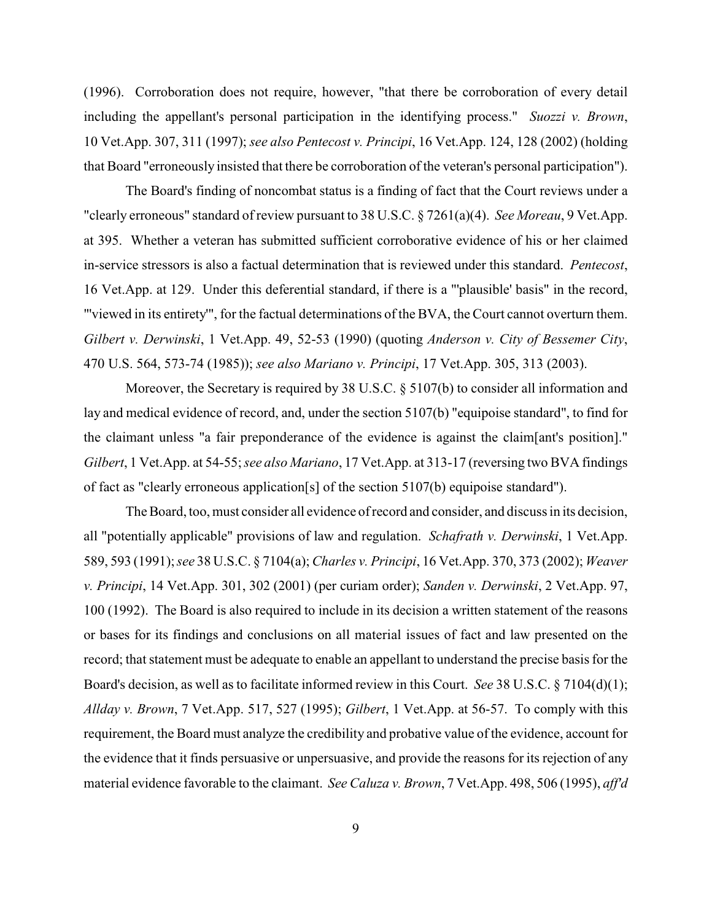(1996). Corroboration does not require, however, "that there be corroboration of every detail including the appellant's personal participation in the identifying process." *Suozzi v. Brown*, 10 Vet.App. 307, 311 (1997); *see also Pentecost v. Principi*, 16 Vet.App. 124, 128 (2002) (holding that Board "erroneously insisted that there be corroboration of the veteran's personal participation").

The Board's finding of noncombat status is a finding of fact that the Court reviews under a "clearly erroneous" standard of review pursuant to 38 U.S.C. § 7261(a)(4). *See Moreau*, 9 Vet.App. at 395. Whether a veteran has submitted sufficient corroborative evidence of his or her claimed in-service stressors is also a factual determination that is reviewed under this standard. *Pentecost*, 16 Vet.App. at 129. Under this deferential standard, if there is a "'plausible' basis" in the record, "'viewed in its entirety'", for the factual determinations of the BVA, the Court cannot overturn them. *Gilbert v. Derwinski*, 1 Vet.App. 49, 52-53 (1990) (quoting *Anderson v. City of Bessemer City*, 470 U.S. 564, 573-74 (1985)); *see also Mariano v. Principi*, 17 Vet.App. 305, 313 (2003).

Moreover, the Secretary is required by 38 U.S.C. § 5107(b) to consider all information and lay and medical evidence of record, and, under the section 5107(b) "equipoise standard", to find for the claimant unless "a fair preponderance of the evidence is against the claim[ant's position]." *Gilbert*, 1 Vet.App. at 54-55; *see also Mariano*, 17 Vet.App. at 313-17 (reversing two BVA findings of fact as "clearly erroneous application[s] of the section 5107(b) equipoise standard").

The Board, too, must consider all evidence of record and consider, and discuss in its decision, all "potentially applicable" provisions of law and regulation. *Schafrath v. Derwinski*, 1 Vet.App. 589, 593 (1991); *see* 38 U.S.C. § 7104(a);*Charles v. Principi*, 16 Vet.App. 370, 373 (2002); *Weaver v. Principi*, 14 Vet.App. 301, 302 (2001) (per curiam order); *Sanden v. Derwinski*, 2 Vet.App. 97, 100 (1992). The Board is also required to include in its decision a written statement of the reasons or bases for its findings and conclusions on all material issues of fact and law presented on the record; that statement must be adequate to enable an appellant to understand the precise basis for the Board's decision, as well as to facilitate informed review in this Court. *See* 38 U.S.C. § 7104(d)(1); *Allday v. Brown*, 7 Vet.App. 517, 527 (1995); *Gilbert*, 1 Vet.App. at 56-57. To comply with this requirement, the Board must analyze the credibility and probative value of the evidence, account for the evidence that it finds persuasive or unpersuasive, and provide the reasons for its rejection of any material evidence favorable to the claimant. *See Caluza v. Brown*, 7 Vet.App. 498, 506 (1995), *aff'd*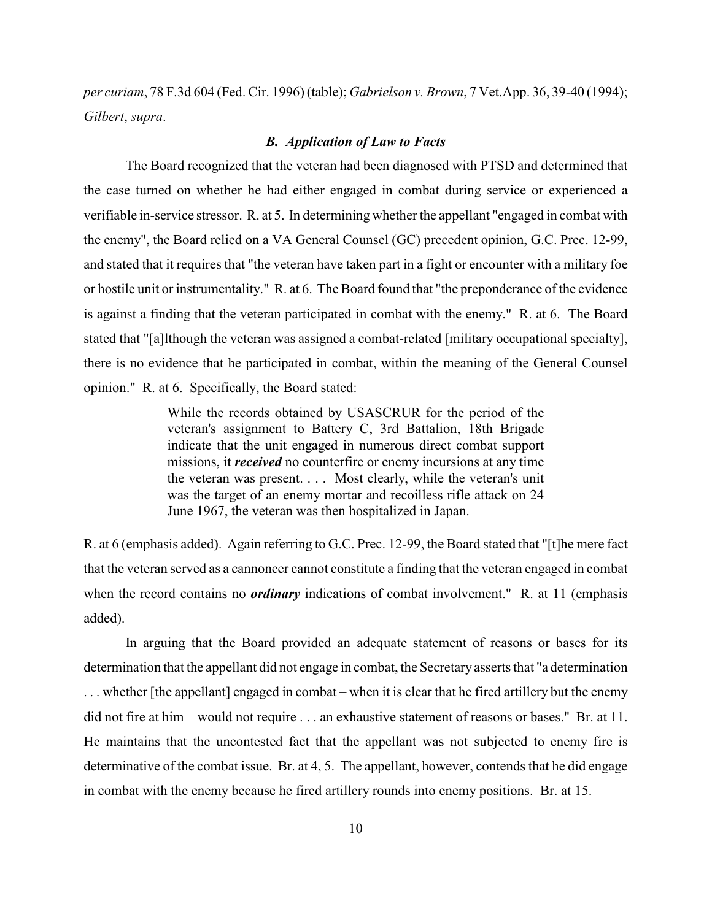*per curiam*, 78 F.3d 604 (Fed. Cir. 1996) (table); *Gabrielson v. Brown*, 7 Vet.App. 36, 39-40 (1994); *Gilbert*, *supra*.

### *B. Application of Law to Facts*

The Board recognized that the veteran had been diagnosed with PTSD and determined that the case turned on whether he had either engaged in combat during service or experienced a verifiable in-service stressor. R. at 5. In determining whether the appellant "engaged in combat with the enemy", the Board relied on a VA General Counsel (GC) precedent opinion, G.C. Prec. 12-99, and stated that it requires that "the veteran have taken part in a fight or encounter with a military foe or hostile unit or instrumentality." R. at 6. The Board found that "the preponderance of the evidence is against a finding that the veteran participated in combat with the enemy." R. at 6. The Board stated that "[a]lthough the veteran was assigned a combat-related [military occupational specialty], there is no evidence that he participated in combat, within the meaning of the General Counsel opinion." R. at 6. Specifically, the Board stated:

> While the records obtained by USASCRUR for the period of the veteran's assignment to Battery C, 3rd Battalion, 18th Brigade indicate that the unit engaged in numerous direct combat support missions, it *received* no counterfire or enemy incursions at any time the veteran was present. . . . Most clearly, while the veteran's unit was the target of an enemy mortar and recoilless rifle attack on 24 June 1967, the veteran was then hospitalized in Japan.

R. at 6 (emphasis added). Again referring to G.C. Prec. 12-99, the Board stated that "[t]he mere fact that the veteran served as a cannoneer cannot constitute a finding that the veteran engaged in combat when the record contains no *ordinary* indications of combat involvement." R. at 11 (emphasis added).

In arguing that the Board provided an adequate statement of reasons or bases for its determination that the appellant did not engage in combat, the Secretary asserts that "a determination . . . whether [the appellant] engaged in combat – when it is clear that he fired artillery but the enemy did not fire at him – would not require . . . an exhaustive statement of reasons or bases." Br. at 11. He maintains that the uncontested fact that the appellant was not subjected to enemy fire is determinative of the combat issue. Br. at 4, 5. The appellant, however, contends that he did engage in combat with the enemy because he fired artillery rounds into enemy positions. Br. at 15.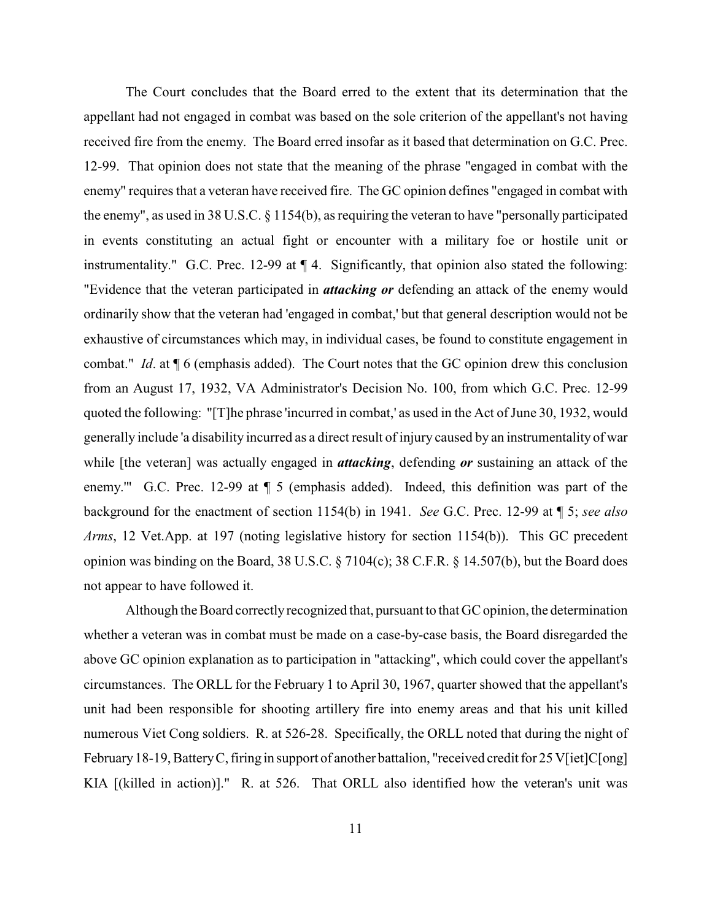The Court concludes that the Board erred to the extent that its determination that the appellant had not engaged in combat was based on the sole criterion of the appellant's not having received fire from the enemy. The Board erred insofar as it based that determination on G.C. Prec. 12-99. That opinion does not state that the meaning of the phrase "engaged in combat with the enemy" requires that a veteran have received fire. The GC opinion defines "engaged in combat with the enemy", as used in 38 U.S.C. § 1154(b), as requiring the veteran to have "personally participated in events constituting an actual fight or encounter with a military foe or hostile unit or instrumentality." G.C. Prec. 12-99 at ¶ 4. Significantly, that opinion also stated the following: "Evidence that the veteran participated in *attacking or* defending an attack of the enemy would ordinarily show that the veteran had 'engaged in combat,' but that general description would not be exhaustive of circumstances which may, in individual cases, be found to constitute engagement in combat." *Id*. at ¶ 6 (emphasis added). The Court notes that the GC opinion drew this conclusion from an August 17, 1932, VA Administrator's Decision No. 100, from which G.C. Prec. 12-99 quoted the following: "[T]he phrase 'incurred in combat,' as used in the Act of June 30, 1932, would generally include 'a disability incurred as a direct result of injury caused by an instrumentality of war while [the veteran] was actually engaged in *attacking*, defending *or* sustaining an attack of the enemy.'" G.C. Prec. 12-99 at ¶ 5 (emphasis added). Indeed, this definition was part of the background for the enactment of section 1154(b) in 1941. *See* G.C. Prec. 12-99 at ¶ 5; *see also Arms*, 12 Vet.App. at 197 (noting legislative history for section 1154(b)). This GC precedent opinion was binding on the Board, 38 U.S.C. § 7104(c); 38 C.F.R. § 14.507(b), but the Board does not appear to have followed it.

Although the Board correctly recognized that, pursuant to that GC opinion, the determination whether a veteran was in combat must be made on a case-by-case basis, the Board disregarded the above GC opinion explanation as to participation in "attacking", which could cover the appellant's circumstances. The ORLL for the February 1 to April 30, 1967, quarter showed that the appellant's unit had been responsible for shooting artillery fire into enemy areas and that his unit killed numerous Viet Cong soldiers. R. at 526-28. Specifically, the ORLL noted that during the night of February 18-19, Battery C, firing in support of another battalion, "received credit for 25 V[iet]C[ong] KIA [(killed in action)]." R. at 526. That ORLL also identified how the veteran's unit was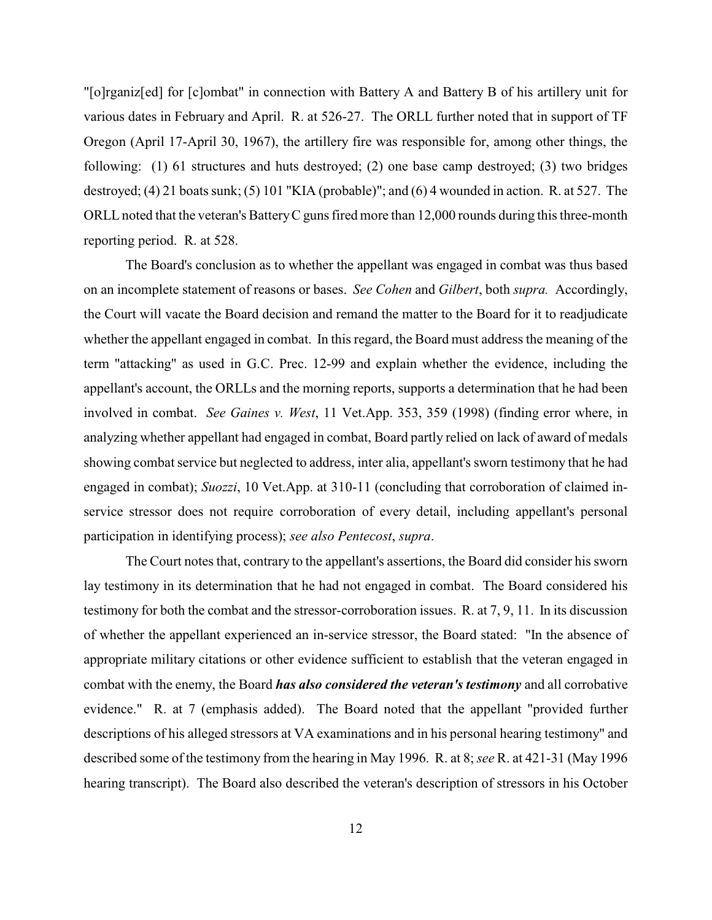"[o]rganiz[ed] for [c]ombat" in connection with Battery A and Battery B of his artillery unit for various dates in February and April. R. at 526-27. The ORLL further noted that in support of TF Oregon (April 17-April 30, 1967), the artillery fire was responsible for, among other things, the following: (1) 61 structures and huts destroyed; (2) one base camp destroyed; (3) two bridges destroyed; (4) 21 boats sunk; (5) 101 "KIA (probable)"; and (6) 4 wounded in action. R. at 527. The ORLL noted that the veteran's BatteryC guns fired more than 12,000 rounds during this three-month reporting period. R. at 528.

The Board's conclusion as to whether the appellant was engaged in combat was thus based on an incomplete statement of reasons or bases. *See Cohen* and *Gilbert*, both *supra.* Accordingly, the Court will vacate the Board decision and remand the matter to the Board for it to readjudicate whether the appellant engaged in combat. In this regard, the Board must address the meaning of the term "attacking" as used in G.C. Prec. 12-99 and explain whether the evidence, including the appellant's account, the ORLLs and the morning reports, supports a determination that he had been involved in combat. *See Gaines v. West*, 11 Vet.App. 353, 359 (1998) (finding error where, in analyzing whether appellant had engaged in combat, Board partly relied on lack of award of medals showing combat service but neglected to address, inter alia, appellant's sworn testimony that he had engaged in combat); *Suozzi*, 10 Vet.App. at 310-11 (concluding that corroboration of claimed inservice stressor does not require corroboration of every detail, including appellant's personal participation in identifying process); *see also Pentecost*, *supra*.

The Court notes that, contrary to the appellant's assertions, the Board did consider his sworn lay testimony in its determination that he had not engaged in combat. The Board considered his testimony for both the combat and the stressor-corroboration issues. R. at 7, 9, 11. In its discussion of whether the appellant experienced an in-service stressor, the Board stated: "In the absence of appropriate military citations or other evidence sufficient to establish that the veteran engaged in combat with the enemy, the Board *has also considered the veteran's testimony* and all corrobative evidence." R. at 7 (emphasis added). The Board noted that the appellant "provided further descriptions of his alleged stressors at VA examinations and in his personal hearing testimony" and described some of the testimony from the hearing in May 1996. R. at 8; *see* R. at 421-31 (May 1996 hearing transcript). The Board also described the veteran's description of stressors in his October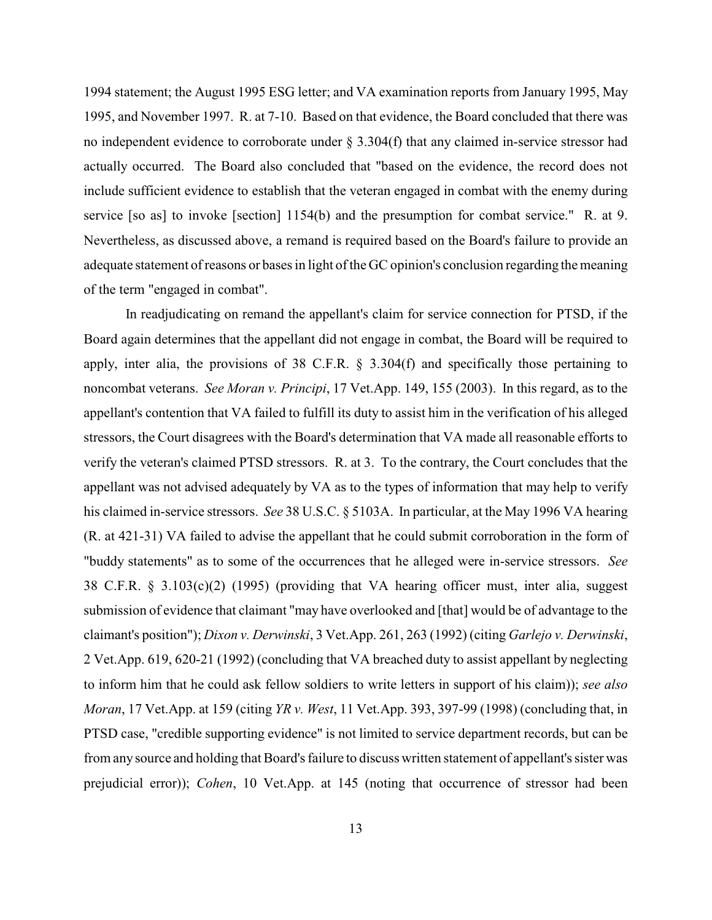1994 statement; the August 1995 ESG letter; and VA examination reports from January 1995, May 1995, and November 1997. R. at 7-10. Based on that evidence, the Board concluded that there was no independent evidence to corroborate under § 3.304(f) that any claimed in-service stressor had actually occurred. The Board also concluded that "based on the evidence, the record does not include sufficient evidence to establish that the veteran engaged in combat with the enemy during service [so as] to invoke [section] 1154(b) and the presumption for combat service." R. at 9. Nevertheless, as discussed above, a remand is required based on the Board's failure to provide an adequate statement of reasons or bases in light of the GC opinion's conclusion regarding the meaning of the term "engaged in combat".

In readjudicating on remand the appellant's claim for service connection for PTSD, if the Board again determines that the appellant did not engage in combat, the Board will be required to apply, inter alia, the provisions of 38 C.F.R. § 3.304(f) and specifically those pertaining to noncombat veterans. *See Moran v. Principi*, 17 Vet.App. 149, 155 (2003). In this regard, as to the appellant's contention that VA failed to fulfill its duty to assist him in the verification of his alleged stressors, the Court disagrees with the Board's determination that VA made all reasonable efforts to verify the veteran's claimed PTSD stressors. R. at 3. To the contrary, the Court concludes that the appellant was not advised adequately by VA as to the types of information that may help to verify his claimed in-service stressors. *See* 38 U.S.C. § 5103A. In particular, at the May 1996 VA hearing (R. at 421-31) VA failed to advise the appellant that he could submit corroboration in the form of "buddy statements" as to some of the occurrences that he alleged were in-service stressors. *See* 38 C.F.R. § 3.103(c)(2) (1995) (providing that VA hearing officer must, inter alia, suggest submission of evidence that claimant "may have overlooked and [that] would be of advantage to the claimant's position"); *Dixon v. Derwinski*, 3 Vet.App. 261, 263 (1992) (citing *Garlejo v. Derwinski*, 2 Vet.App. 619, 620-21 (1992) (concluding that VA breached duty to assist appellant by neglecting to inform him that he could ask fellow soldiers to write letters in support of his claim)); *see also Moran*, 17 Vet.App. at 159 (citing *YR v. West*, 11 Vet.App. 393, 397-99 (1998) (concluding that, in PTSD case, "credible supporting evidence" is not limited to service department records, but can be from any source and holding that Board's failure to discuss written statement of appellant's sister was prejudicial error)); *Cohen*, 10 Vet.App. at 145 (noting that occurrence of stressor had been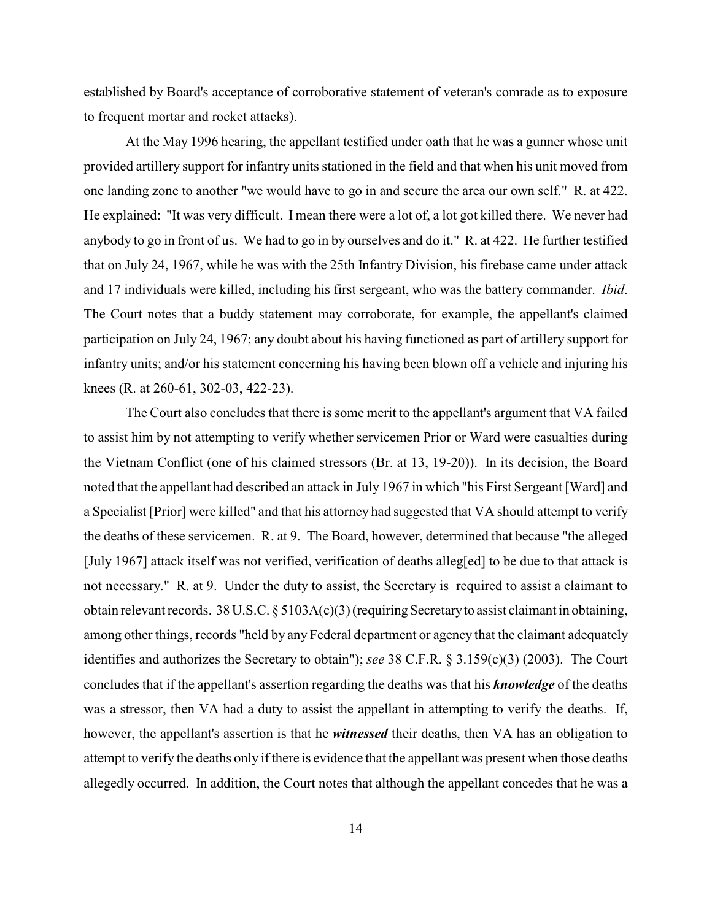established by Board's acceptance of corroborative statement of veteran's comrade as to exposure to frequent mortar and rocket attacks).

At the May 1996 hearing, the appellant testified under oath that he was a gunner whose unit provided artillery support for infantry units stationed in the field and that when his unit moved from one landing zone to another "we would have to go in and secure the area our own self." R. at 422. He explained: "It was very difficult. I mean there were a lot of, a lot got killed there. We never had anybody to go in front of us. We had to go in by ourselves and do it." R. at 422. He further testified that on July 24, 1967, while he was with the 25th Infantry Division, his firebase came under attack and 17 individuals were killed, including his first sergeant, who was the battery commander. *Ibid*. The Court notes that a buddy statement may corroborate, for example, the appellant's claimed participation on July 24, 1967; any doubt about his having functioned as part of artillery support for infantry units; and/or his statement concerning his having been blown off a vehicle and injuring his knees (R. at 260-61, 302-03, 422-23).

The Court also concludes that there is some merit to the appellant's argument that VA failed to assist him by not attempting to verify whether servicemen Prior or Ward were casualties during the Vietnam Conflict (one of his claimed stressors (Br. at 13, 19-20)). In its decision, the Board noted that the appellant had described an attack in July 1967 in which "his First Sergeant [Ward] and a Specialist [Prior] were killed" and that his attorney had suggested that VA should attempt to verify the deaths of these servicemen. R. at 9. The Board, however, determined that because "the alleged [July 1967] attack itself was not verified, verification of deaths alleg[ed] to be due to that attack is not necessary." R. at 9. Under the duty to assist, the Secretary is required to assist a claimant to obtain relevant records. 38 U.S.C. § 5103A(c)(3) (requiring Secretary to assist claimant in obtaining, among other things, records "held by any Federal department or agency that the claimant adequately identifies and authorizes the Secretary to obtain"); *see* 38 C.F.R. § 3.159(c)(3) (2003). The Court concludes that if the appellant's assertion regarding the deaths was that his *knowledge* of the deaths was a stressor, then VA had a duty to assist the appellant in attempting to verify the deaths. If, however, the appellant's assertion is that he *witnessed* their deaths, then VA has an obligation to attempt to verify the deaths only if there is evidence that the appellant was present when those deaths allegedly occurred. In addition, the Court notes that although the appellant concedes that he was a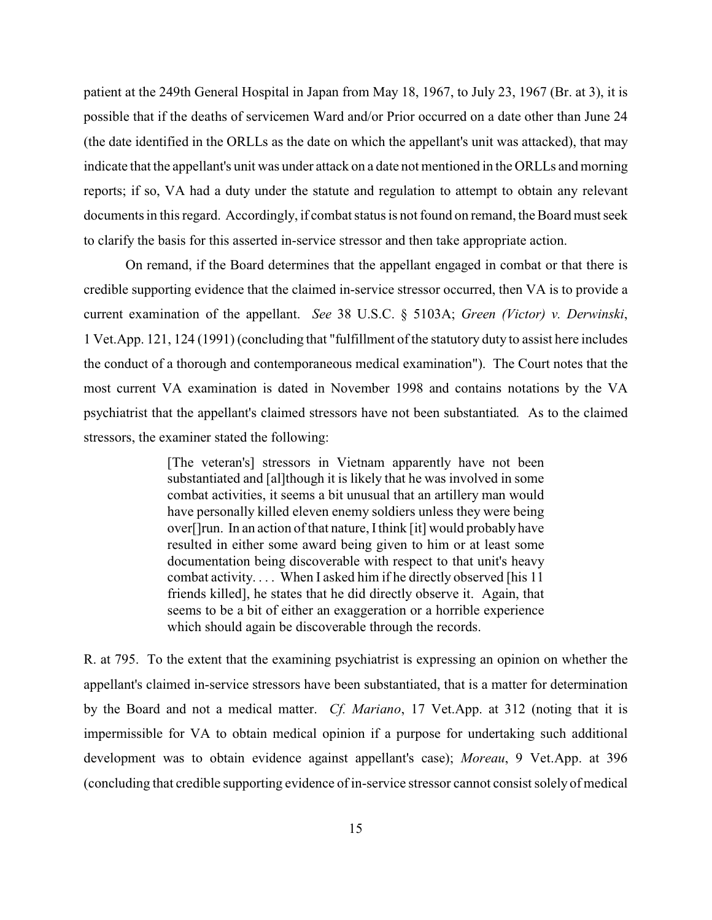patient at the 249th General Hospital in Japan from May 18, 1967, to July 23, 1967 (Br. at 3), it is possible that if the deaths of servicemen Ward and/or Prior occurred on a date other than June 24 (the date identified in the ORLLs as the date on which the appellant's unit was attacked), that may indicate that the appellant's unit was under attack on a date not mentioned in the ORLLs and morning reports; if so, VA had a duty under the statute and regulation to attempt to obtain any relevant documents in this regard. Accordingly, if combat status is not found on remand, the Board must seek to clarify the basis for this asserted in-service stressor and then take appropriate action.

On remand, if the Board determines that the appellant engaged in combat or that there is credible supporting evidence that the claimed in-service stressor occurred, then VA is to provide a current examination of the appellant. *See* 38 U.S.C. § 5103A; *Green (Victor) v. Derwinski*, 1 Vet.App. 121, 124 (1991) (concluding that "fulfillment of the statutory duty to assist here includes the conduct of a thorough and contemporaneous medical examination"). The Court notes that the most current VA examination is dated in November 1998 and contains notations by the VA psychiatrist that the appellant's claimed stressors have not been substantiated*.* As to the claimed stressors, the examiner stated the following:

> [The veteran's] stressors in Vietnam apparently have not been substantiated and [al]though it is likely that he was involved in some combat activities, it seems a bit unusual that an artillery man would have personally killed eleven enemy soldiers unless they were being over[]run. In an action of that nature, I think [it] would probably have resulted in either some award being given to him or at least some documentation being discoverable with respect to that unit's heavy combat activity. . . . When I asked him if he directly observed [his 11 friends killed], he states that he did directly observe it. Again, that seems to be a bit of either an exaggeration or a horrible experience which should again be discoverable through the records.

R. at 795. To the extent that the examining psychiatrist is expressing an opinion on whether the appellant's claimed in-service stressors have been substantiated, that is a matter for determination by the Board and not a medical matter. *Cf. Mariano*, 17 Vet.App. at 312 (noting that it is impermissible for VA to obtain medical opinion if a purpose for undertaking such additional development was to obtain evidence against appellant's case); *Moreau*, 9 Vet.App. at 396 (concluding that credible supporting evidence of in-service stressor cannot consist solely of medical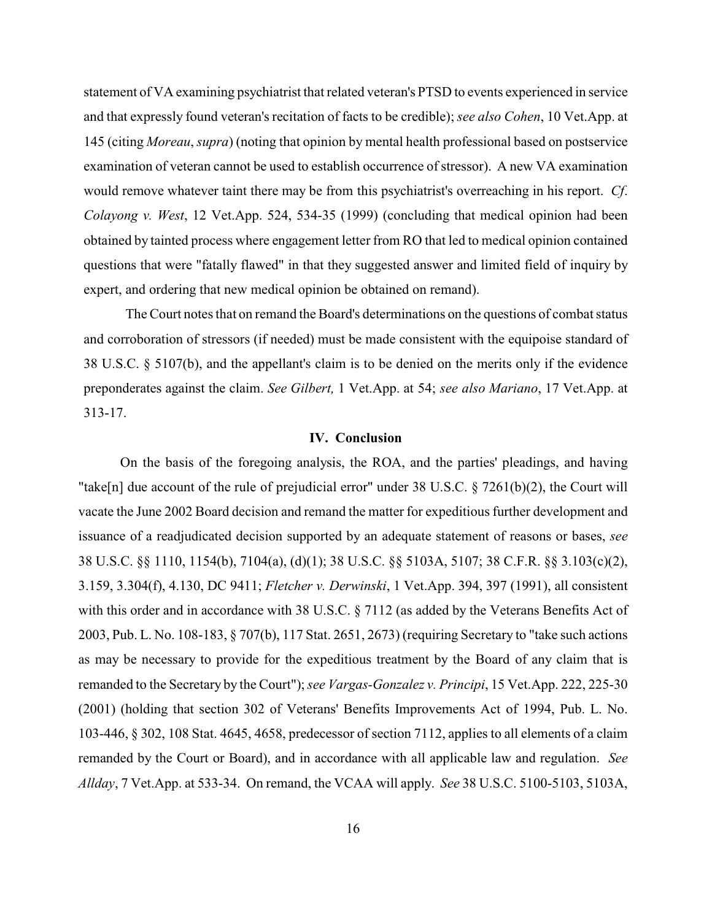statement of VA examining psychiatrist that related veteran's PTSD to events experienced in service and that expressly found veteran's recitation of facts to be credible); *see also Cohen*, 10 Vet.App. at 145 (citing *Moreau*, *supra*) (noting that opinion by mental health professional based on postservice examination of veteran cannot be used to establish occurrence of stressor). A new VA examination would remove whatever taint there may be from this psychiatrist's overreaching in his report. *Cf*. *Colayong v. West*, 12 Vet.App. 524, 534-35 (1999) (concluding that medical opinion had been obtained by tainted process where engagement letter from RO that led to medical opinion contained questions that were "fatally flawed" in that they suggested answer and limited field of inquiry by expert, and ordering that new medical opinion be obtained on remand).

The Court notes that on remand the Board's determinations on the questions of combat status and corroboration of stressors (if needed) must be made consistent with the equipoise standard of 38 U.S.C. § 5107(b), and the appellant's claim is to be denied on the merits only if the evidence preponderates against the claim. *See Gilbert,* 1 Vet.App. at 54; *see also Mariano*, 17 Vet.App. at 313-17.

### **IV. Conclusion**

On the basis of the foregoing analysis, the ROA, and the parties' pleadings, and having "take[n] due account of the rule of prejudicial error" under 38 U.S.C. § 7261(b)(2), the Court will vacate the June 2002 Board decision and remand the matter for expeditious further development and issuance of a readjudicated decision supported by an adequate statement of reasons or bases, *see* 38 U.S.C. §§ 1110, 1154(b), 7104(a), (d)(1); 38 U.S.C. §§ 5103A, 5107; 38 C.F.R. §§ 3.103(c)(2), 3.159, 3.304(f), 4.130, DC 9411; *Fletcher v. Derwinski*, 1 Vet.App. 394, 397 (1991), all consistent with this order and in accordance with 38 U.S.C. § 7112 (as added by the Veterans Benefits Act of 2003, Pub. L. No. 108-183, § 707(b), 117 Stat. 2651, 2673) (requiring Secretary to "take such actions as may be necessary to provide for the expeditious treatment by the Board of any claim that is remanded to the Secretary by the Court"); *see Vargas-Gonzalez v. Principi*, 15 Vet.App. 222, 225-30 (2001) (holding that section 302 of Veterans' Benefits Improvements Act of 1994, Pub. L. No. 103-446, § 302, 108 Stat. 4645, 4658, predecessor of section 7112, applies to all elements of a claim remanded by the Court or Board), and in accordance with all applicable law and regulation. *See Allday*, 7 Vet.App. at 533-34. On remand, the VCAA will apply. *See* 38 U.S.C. 5100-5103, 5103A,